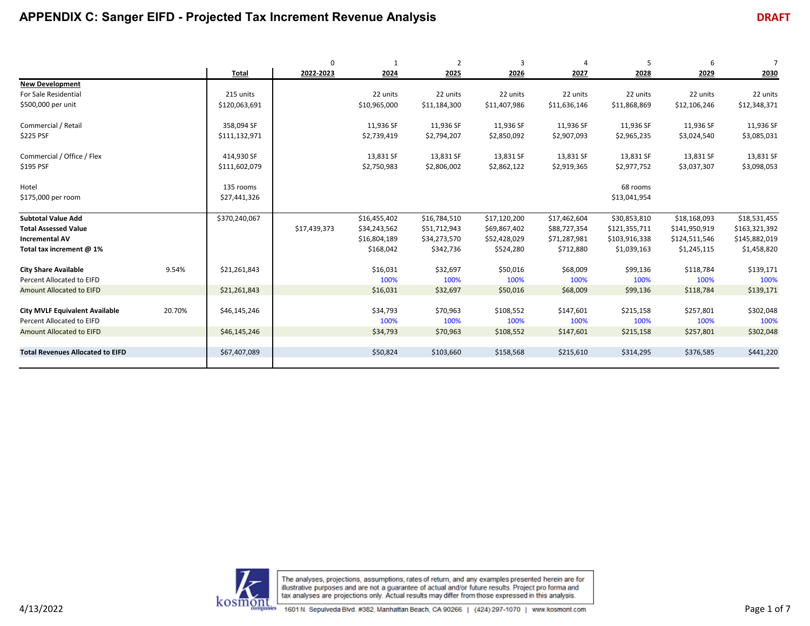|                                         |        |               | $\mathbf 0$  |              | $\overline{2}$ | 3            | 4            | 5             | 6             | $\overline{7}$ |
|-----------------------------------------|--------|---------------|--------------|--------------|----------------|--------------|--------------|---------------|---------------|----------------|
|                                         |        | <b>Total</b>  | 2022-2023    | 2024         | 2025           | 2026         | 2027         | 2028          | 2029          | 2030           |
| <b>New Development</b>                  |        |               |              |              |                |              |              |               |               |                |
| For Sale Residential                    |        | 215 units     |              | 22 units     | 22 units       | 22 units     | 22 units     | 22 units      | 22 units      | 22 units       |
| \$500,000 per unit                      |        | \$120,063,691 |              | \$10,965,000 | \$11,184,300   | \$11,407,986 | \$11,636,146 | \$11,868,869  | \$12,106,246  | \$12,348,371   |
| Commercial / Retail                     |        | 358,094 SF    |              | 11,936 SF    | 11,936 SF      | 11,936 SF    | 11,936 SF    | 11,936 SF     | 11,936 SF     | 11,936 SF      |
| \$225 PSF                               |        | \$111,132,971 |              | \$2,739,419  | \$2,794,207    | \$2,850,092  | \$2,907,093  | \$2,965,235   | \$3,024,540   | \$3,085,031    |
| Commercial / Office / Flex              |        | 414,930 SF    |              | 13,831 SF    | 13,831 SF      | 13,831 SF    | 13,831 SF    | 13,831 SF     | 13,831 SF     | 13,831 SF      |
| \$195 PSF                               |        | \$111,602,079 |              | \$2,750,983  | \$2,806,002    | \$2,862,122  | \$2,919,365  | \$2,977,752   | \$3,037,307   | \$3,098,053    |
| Hotel                                   |        | 135 rooms     |              |              |                |              |              | 68 rooms      |               |                |
| \$175,000 per room                      |        | \$27,441,326  |              |              |                |              |              | \$13,041,954  |               |                |
| <b>Subtotal Value Add</b>               |        | \$370,240,067 |              | \$16,455,402 | \$16,784,510   | \$17,120,200 | \$17,462,604 | \$30,853,810  | \$18,168,093  | \$18,531,455   |
| <b>Total Assessed Value</b>             |        |               | \$17,439,373 | \$34,243,562 | \$51,712,943   | \$69,867,402 | \$88,727,354 | \$121,355,711 | \$141,950,919 | \$163,321,392  |
| <b>Incremental AV</b>                   |        |               |              | \$16,804,189 | \$34,273,570   | \$52,428,029 | \$71,287,981 | \$103,916,338 | \$124,511,546 | \$145,882,019  |
| Total tax increment @ 1%                |        |               |              | \$168,042    | \$342,736      | \$524,280    | \$712,880    | \$1,039,163   | \$1,245,115   | \$1,458,820    |
| <b>City Share Available</b>             | 9.54%  | \$21,261,843  |              | \$16,031     | \$32,697       | \$50,016     | \$68,009     | \$99,136      | \$118,784     | \$139,171      |
| Percent Allocated to EIFD               |        |               |              | 100%         | 100%           | 100%         | 100%         | 100%          | 100%          | 100%           |
| <b>Amount Allocated to EIFD</b>         |        | \$21,261,843  |              | \$16,031     | \$32,697       | \$50,016     | \$68,009     | \$99,136      | \$118,784     | \$139,171      |
| <b>City MVLF Equivalent Available</b>   | 20.70% | \$46,145,246  |              | \$34,793     | \$70,963       | \$108,552    | \$147,601    | \$215,158     | \$257,801     | \$302,048      |
| Percent Allocated to EIFD               |        |               |              | 100%         | 100%           | 100%         | 100%         | 100%          | 100%          | 100%           |
| <b>Amount Allocated to EIFD</b>         |        | \$46,145,246  |              | \$34,793     | \$70,963       | \$108,552    | \$147,601    | \$215,158     | \$257,801     | \$302,048      |
|                                         |        |               |              |              |                |              |              |               |               |                |
| <b>Total Revenues Allocated to EIFD</b> |        | \$67,407,089  |              | \$50,824     | \$103,660      | \$158,568    | \$215,610    | \$314,295     | \$376,585     | \$441,220      |
|                                         |        |               |              |              |                |              |              |               |               |                |

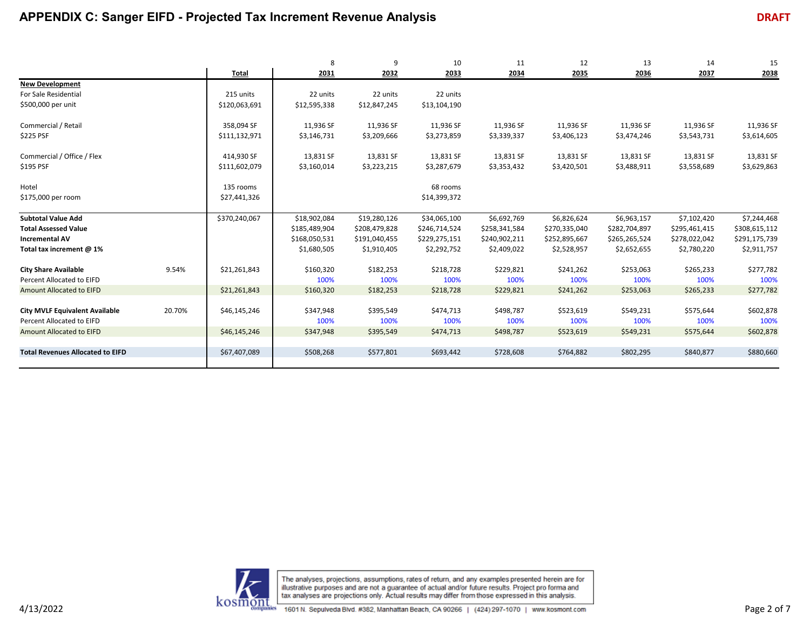|                                         |        |               | 8             | 9             | 10            | 11            | 12            | 13            | 14            | 15            |
|-----------------------------------------|--------|---------------|---------------|---------------|---------------|---------------|---------------|---------------|---------------|---------------|
|                                         |        | Total         | 2031          | 2032          | 2033          | 2034          | 2035          | 2036          | 2037          | 2038          |
| <b>New Development</b>                  |        |               |               |               |               |               |               |               |               |               |
| For Sale Residential                    |        | 215 units     | 22 units      | 22 units      | 22 units      |               |               |               |               |               |
| \$500,000 per unit                      |        | \$120,063,691 | \$12,595,338  | \$12,847,245  | \$13,104,190  |               |               |               |               |               |
| Commercial / Retail                     |        | 358,094 SF    | 11,936 SF     | 11,936 SF     | 11,936 SF     | 11,936 SF     | 11,936 SF     | 11,936 SF     | 11,936 SF     | 11,936 SF     |
| \$225 PSF                               |        | \$111,132,971 | \$3,146,731   | \$3,209,666   | \$3,273,859   | \$3,339,337   | \$3,406,123   | \$3,474,246   | \$3,543,731   | \$3,614,605   |
| Commercial / Office / Flex              |        | 414,930 SF    | 13,831 SF     | 13,831 SF     | 13,831 SF     | 13,831 SF     | 13,831 SF     | 13,831 SF     | 13,831 SF     | 13,831 SF     |
| \$195 PSF                               |        | \$111,602,079 | \$3,160,014   | \$3,223,215   | \$3,287,679   | \$3,353,432   | \$3,420,501   | \$3,488,911   | \$3,558,689   | \$3,629,863   |
| Hotel                                   |        | 135 rooms     |               |               | 68 rooms      |               |               |               |               |               |
| \$175,000 per room                      |        | \$27,441,326  |               |               | \$14,399,372  |               |               |               |               |               |
| <b>Subtotal Value Add</b>               |        | \$370,240,067 | \$18,902,084  | \$19,280,126  | \$34,065,100  | \$6,692,769   | \$6,826,624   | \$6,963,157   | \$7,102,420   | \$7,244,468   |
| <b>Total Assessed Value</b>             |        |               | \$185,489,904 | \$208,479,828 | \$246,714,524 | \$258,341,584 | \$270,335,040 | \$282,704,897 | \$295,461,415 | \$308,615,112 |
| <b>Incremental AV</b>                   |        |               | \$168,050,531 | \$191,040,455 | \$229,275,151 | \$240,902,211 | \$252,895,667 | \$265,265,524 | \$278,022,042 | \$291,175,739 |
| Total tax increment @ 1%                |        |               | \$1,680,505   | \$1,910,405   | \$2,292,752   | \$2,409,022   | \$2,528,957   | \$2,652,655   | \$2,780,220   | \$2,911,757   |
| <b>City Share Available</b>             | 9.54%  | \$21,261,843  | \$160,320     | \$182,253     | \$218,728     | \$229,821     | \$241,262     | \$253,063     | \$265,233     | \$277,782     |
| Percent Allocated to EIFD               |        |               | 100%          | 100%          | 100%          | 100%          | 100%          | 100%          | 100%          | 100%          |
| Amount Allocated to EIFD                |        | \$21,261,843  | \$160,320     | \$182,253     | \$218,728     | \$229,821     | \$241,262     | \$253,063     | \$265,233     | \$277,782     |
| <b>City MVLF Equivalent Available</b>   | 20.70% | \$46,145,246  | \$347,948     | \$395,549     | \$474,713     | \$498,787     | \$523,619     | \$549,231     | \$575,644     | \$602,878     |
| Percent Allocated to EIFD               |        |               | 100%          | 100%          | 100%          | 100%          | 100%          | 100%          | 100%          | 100%          |
|                                         |        |               |               |               |               |               |               |               |               |               |
| Amount Allocated to EIFD                |        | \$46,145,246  | \$347,948     | \$395,549     | \$474,713     | \$498,787     | \$523,619     | \$549,231     | \$575,644     | \$602,878     |
| <b>Total Revenues Allocated to EIFD</b> |        | \$67,407,089  | \$508,268     | \$577,801     | \$693,442     | \$728,608     | \$764,882     | \$802,295     | \$840,877     | \$880,660     |
|                                         |        |               |               |               |               |               |               |               |               |               |

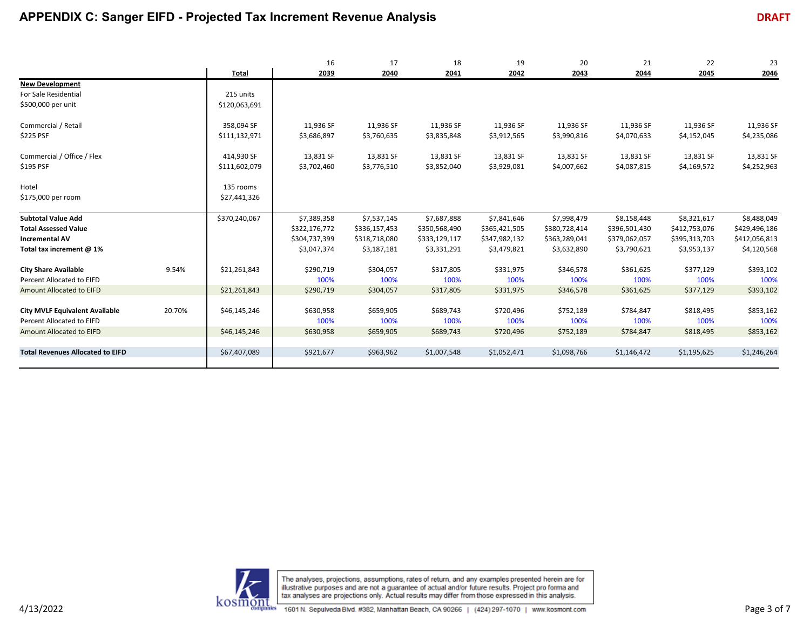|                                                                                                |                                        | 16                             | 17                             | 18                             | 19                             | 20                             | 21                             | 22                             | 23                             |
|------------------------------------------------------------------------------------------------|----------------------------------------|--------------------------------|--------------------------------|--------------------------------|--------------------------------|--------------------------------|--------------------------------|--------------------------------|--------------------------------|
|                                                                                                | <b>Total</b>                           | 2039                           | 2040                           | 2041                           | 2042                           | 2043                           | 2044                           | 2045                           | 2046                           |
| <b>New Development</b><br>For Sale Residential<br>\$500,000 per unit                           | 215 units<br>\$120,063,691             |                                |                                |                                |                                |                                |                                |                                |                                |
| Commercial / Retail<br>\$225 PSF                                                               | 358,094 SF<br>\$111,132,971            | 11,936 SF<br>\$3,686,897       | 11,936 SF<br>\$3,760,635       | 11,936 SF<br>\$3,835,848       | 11,936 SF<br>\$3,912,565       | 11,936 SF<br>\$3,990,816       | 11,936 SF<br>\$4,070,633       | 11,936 SF<br>\$4,152,045       | 11,936 SF<br>\$4,235,086       |
| Commercial / Office / Flex<br>\$195 PSF                                                        | 414,930 SF<br>\$111,602,079            | 13,831 SF<br>\$3,702,460       | 13,831 SF<br>\$3,776,510       | 13,831 SF<br>\$3,852,040       | 13,831 SF<br>\$3,929,081       | 13,831 SF<br>\$4,007,662       | 13,831 SF<br>\$4,087,815       | 13,831 SF<br>\$4,169,572       | 13,831 SF<br>\$4,252,963       |
| Hotel<br>\$175,000 per room                                                                    | 135 rooms<br>\$27,441,326              |                                |                                |                                |                                |                                |                                |                                |                                |
| <b>Subtotal Value Add</b>                                                                      | \$370,240,067                          | \$7,389,358                    | \$7,537,145                    | \$7,687,888                    | \$7,841,646                    | \$7,998,479                    | \$8,158,448                    | \$8,321,617                    | \$8,488,049                    |
| <b>Total Assessed Value</b>                                                                    |                                        | \$322,176,772                  | \$336,157,453                  | \$350,568,490                  | \$365,421,505                  | \$380,728,414                  | \$396,501,430                  | \$412,753,076                  | \$429,496,186                  |
| <b>Incremental AV</b>                                                                          |                                        | \$304,737,399                  | \$318,718,080                  | \$333,129,117                  | \$347,982,132                  | \$363,289,041                  | \$379,062,057                  | \$395,313,703                  | \$412,056,813                  |
| Total tax increment @ 1%                                                                       |                                        | \$3,047,374                    | \$3,187,181                    | \$3,331,291                    | \$3,479,821                    | \$3,632,890                    | \$3,790,621                    | \$3,953,137                    | \$4,120,568                    |
| <b>City Share Available</b><br>Percent Allocated to EIFD                                       | 9.54%<br>\$21,261,843                  | \$290,719<br>100%              | \$304,057<br>100%              | \$317,805<br>100%              | \$331,975<br>100%              | \$346,578<br>100%              | \$361,625<br>100%              | \$377,129<br>100%              | \$393,102<br>100%              |
| Amount Allocated to EIFD                                                                       | \$21,261,843                           | \$290,719                      | \$304,057                      | \$317,805                      | \$331,975                      | \$346,578                      | \$361,625                      | \$377,129                      | \$393,102                      |
| <b>City MVLF Equivalent Available</b><br>Percent Allocated to EIFD<br>Amount Allocated to EIFD | 20.70%<br>\$46,145,246<br>\$46,145,246 | \$630,958<br>100%<br>\$630,958 | \$659,905<br>100%<br>\$659,905 | \$689,743<br>100%<br>\$689,743 | \$720,496<br>100%<br>\$720,496 | \$752,189<br>100%<br>\$752,189 | \$784,847<br>100%<br>\$784,847 | \$818,495<br>100%<br>\$818,495 | \$853,162<br>100%<br>\$853,162 |
| <b>Total Revenues Allocated to EIFD</b>                                                        | \$67,407,089                           | \$921,677                      | \$963,962                      | \$1,007,548                    | \$1,052,471                    | \$1,098,766                    | \$1,146,472                    | \$1,195,625                    | \$1,246,264                    |

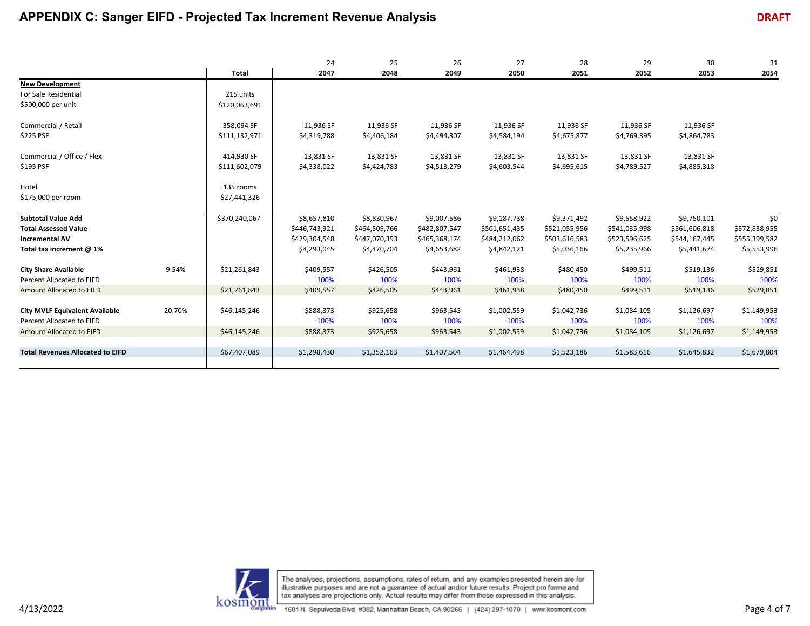|                                                                                                               |                                        | 24                                                           | 25                                                           | 26                                                           | 27                                                           | 28                                                           | 29                                                           | 30                                                           | 31                                                   |
|---------------------------------------------------------------------------------------------------------------|----------------------------------------|--------------------------------------------------------------|--------------------------------------------------------------|--------------------------------------------------------------|--------------------------------------------------------------|--------------------------------------------------------------|--------------------------------------------------------------|--------------------------------------------------------------|------------------------------------------------------|
|                                                                                                               | Total                                  | 2047                                                         | 2048                                                         | 2049                                                         | 2050                                                         | 2051                                                         | 2052                                                         | 2053                                                         | 2054                                                 |
| <b>New Development</b><br>For Sale Residential<br>\$500,000 per unit                                          | 215 units<br>\$120,063,691             |                                                              |                                                              |                                                              |                                                              |                                                              |                                                              |                                                              |                                                      |
| Commercial / Retail<br>\$225 PSF                                                                              | 358,094 SF<br>\$111,132,971            | 11,936 SF<br>\$4,319,788                                     | 11,936 SF<br>\$4,406,184                                     | 11,936 SF<br>\$4,494,307                                     | 11,936 SF<br>\$4,584,194                                     | 11,936 SF<br>\$4,675,877                                     | 11,936 SF<br>\$4,769,395                                     | 11,936 SF<br>\$4,864,783                                     |                                                      |
| Commercial / Office / Flex<br>\$195 PSF                                                                       | 414,930 SF<br>\$111,602,079            | 13,831 SF<br>\$4,338,022                                     | 13,831 SF<br>\$4,424,783                                     | 13,831 SF<br>\$4,513,279                                     | 13,831 SF<br>\$4,603,544                                     | 13,831 SF<br>\$4,695,615                                     | 13,831 SF<br>\$4,789,527                                     | 13,831 SF<br>\$4,885,318                                     |                                                      |
| Hotel<br>\$175,000 per room                                                                                   | 135 rooms<br>\$27,441,326              |                                                              |                                                              |                                                              |                                                              |                                                              |                                                              |                                                              |                                                      |
| <b>Subtotal Value Add</b><br><b>Total Assessed Value</b><br><b>Incremental AV</b><br>Total tax increment @ 1% | \$370,240,067                          | \$8,657,810<br>\$446,743,921<br>\$429,304,548<br>\$4,293,045 | \$8,830,967<br>\$464,509,766<br>\$447,070,393<br>\$4,470,704 | \$9,007,586<br>\$482,807,547<br>\$465,368,174<br>\$4,653,682 | \$9,187,738<br>\$501,651,435<br>\$484,212,062<br>\$4,842,121 | \$9,371,492<br>\$521,055,956<br>\$503,616,583<br>\$5,036,166 | \$9,558,922<br>\$541,035,998<br>\$523,596,625<br>\$5,235,966 | \$9,750,101<br>\$561,606,818<br>\$544,167,445<br>\$5,441,674 | \$0<br>\$572,838,955<br>\$555,399,582<br>\$5,553,996 |
| <b>City Share Available</b><br>Percent Allocated to EIFD                                                      | 9.54%<br>\$21,261,843                  | \$409,557<br>100%                                            | \$426,505<br>100%                                            | \$443,961<br>100%                                            | \$461,938<br>100%                                            | \$480,450<br>100%                                            | \$499,511<br>100%                                            | \$519,136<br>100%                                            | \$529,851<br>100%                                    |
| Amount Allocated to EIFD<br><b>City MVLF Equivalent Available</b><br>Percent Allocated to EIFD                | \$21,261,843<br>20.70%<br>\$46,145,246 | \$409,557<br>\$888,873<br>100%                               | \$426,505<br>\$925,658<br>100%                               | \$443,961<br>\$963,543<br>100%                               | \$461,938<br>\$1,002,559<br>100%                             | \$480,450<br>\$1,042,736<br>100%                             | \$499,511<br>\$1,084,105<br>100%                             | \$519,136<br>\$1,126,697<br>100%                             | \$529,851<br>\$1,149,953<br>100%                     |
| <b>Amount Allocated to EIFD</b>                                                                               | \$46,145,246                           | \$888,873                                                    | \$925,658                                                    | \$963,543                                                    | \$1,002,559                                                  | \$1,042,736                                                  | \$1,084,105                                                  | \$1,126,697                                                  | \$1,149,953                                          |
| <b>Total Revenues Allocated to EIFD</b>                                                                       | \$67,407,089                           | \$1,298,430                                                  | \$1,352,163                                                  | \$1,407,504                                                  | \$1,464,498                                                  | \$1,523,186                                                  | \$1,583,616                                                  | \$1,645,832                                                  | \$1,679,804                                          |

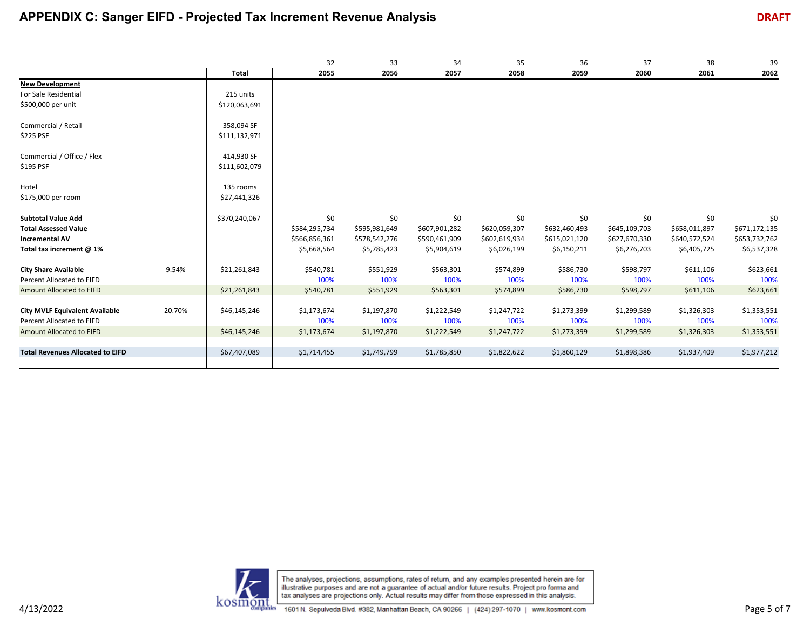|                                         |        |               | 32            | 33            | 34            | 35            | 36            | 37            | 38            | 39            |
|-----------------------------------------|--------|---------------|---------------|---------------|---------------|---------------|---------------|---------------|---------------|---------------|
|                                         |        | Total         | 2055          | 2056          | 2057          | 2058          | 2059          | 2060          | 2061          | 2062          |
| <b>New Development</b>                  |        |               |               |               |               |               |               |               |               |               |
| For Sale Residential                    |        | 215 units     |               |               |               |               |               |               |               |               |
| \$500,000 per unit                      |        | \$120,063,691 |               |               |               |               |               |               |               |               |
|                                         |        |               |               |               |               |               |               |               |               |               |
| Commercial / Retail                     |        | 358,094 SF    |               |               |               |               |               |               |               |               |
| \$225 PSF                               |        | \$111,132,971 |               |               |               |               |               |               |               |               |
|                                         |        |               |               |               |               |               |               |               |               |               |
| Commercial / Office / Flex              |        | 414,930 SF    |               |               |               |               |               |               |               |               |
| \$195 PSF                               |        | \$111,602,079 |               |               |               |               |               |               |               |               |
|                                         |        |               |               |               |               |               |               |               |               |               |
| Hotel                                   |        | 135 rooms     |               |               |               |               |               |               |               |               |
| \$175,000 per room                      |        | \$27,441,326  |               |               |               |               |               |               |               |               |
|                                         |        |               |               |               |               |               |               |               |               |               |
| <b>Subtotal Value Add</b>               |        | \$370,240,067 | \$0           | \$0           | \$0           | \$0           | \$0           | \$0           | \$0           | \$0           |
| <b>Total Assessed Value</b>             |        |               | \$584,295,734 | \$595,981,649 | \$607,901,282 | \$620,059,307 | \$632,460,493 | \$645,109,703 | \$658,011,897 | \$671,172,135 |
| <b>Incremental AV</b>                   |        |               | \$566,856,361 | \$578,542,276 | \$590,461,909 | \$602,619,934 | \$615,021,120 | \$627,670,330 | \$640,572,524 | \$653,732,762 |
| Total tax increment @ 1%                |        |               | \$5,668,564   | \$5,785,423   | \$5,904,619   | \$6,026,199   | \$6,150,211   | \$6,276,703   | \$6,405,725   | \$6,537,328   |
|                                         |        |               |               |               |               |               |               |               |               |               |
| <b>City Share Available</b>             | 9.54%  | \$21,261,843  | \$540,781     | \$551,929     | \$563,301     | \$574,899     | \$586,730     | \$598,797     | \$611,106     | \$623,661     |
| Percent Allocated to EIFD               |        |               | 100%          | 100%          | 100%          | 100%          | 100%          | 100%          | 100%          | 100%          |
| Amount Allocated to EIFD                |        | \$21,261,843  | \$540,781     | \$551,929     | \$563,301     | \$574,899     | \$586,730     | \$598,797     | \$611,106     | \$623,661     |
|                                         |        |               |               |               |               |               |               |               |               |               |
| <b>City MVLF Equivalent Available</b>   | 20.70% | \$46,145,246  | \$1,173,674   | \$1,197,870   | \$1,222,549   | \$1,247,722   | \$1,273,399   | \$1,299,589   | \$1,326,303   | \$1,353,551   |
| Percent Allocated to EIFD               |        |               | 100%          | 100%          | 100%          | 100%          | 100%          | 100%          | 100%          | 100%          |
| Amount Allocated to EIFD                |        | \$46,145,246  | \$1,173,674   | \$1,197,870   | \$1,222,549   | \$1,247,722   | \$1,273,399   | \$1,299,589   | \$1,326,303   | \$1,353,551   |
|                                         |        |               |               |               |               |               |               |               |               |               |
| <b>Total Revenues Allocated to EIFD</b> |        | \$67,407,089  | \$1,714,455   | \$1,749,799   | \$1,785,850   | \$1,822,622   | \$1,860,129   | \$1,898,386   | \$1,937,409   | \$1,977,212   |
|                                         |        |               |               |               |               |               |               |               |               |               |

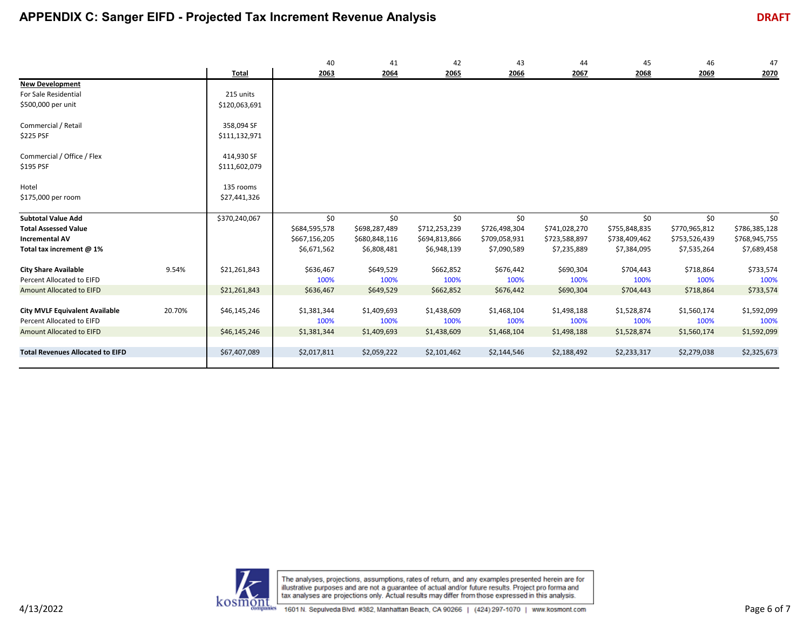|                                         |        |               | 40            | 41            | 42            | 43            | 44            | 45            | 46            | 47            |
|-----------------------------------------|--------|---------------|---------------|---------------|---------------|---------------|---------------|---------------|---------------|---------------|
|                                         |        | <b>Total</b>  | 2063          | 2064          | 2065          | 2066          | 2067          | 2068          | 2069          | 2070          |
| <b>New Development</b>                  |        |               |               |               |               |               |               |               |               |               |
| For Sale Residential                    |        | 215 units     |               |               |               |               |               |               |               |               |
| \$500,000 per unit                      |        | \$120,063,691 |               |               |               |               |               |               |               |               |
|                                         |        |               |               |               |               |               |               |               |               |               |
| Commercial / Retail                     |        | 358,094 SF    |               |               |               |               |               |               |               |               |
| \$225 PSF                               |        | \$111,132,971 |               |               |               |               |               |               |               |               |
| Commercial / Office / Flex              |        | 414,930 SF    |               |               |               |               |               |               |               |               |
|                                         |        |               |               |               |               |               |               |               |               |               |
| \$195 PSF                               |        | \$111,602,079 |               |               |               |               |               |               |               |               |
| Hotel                                   |        | 135 rooms     |               |               |               |               |               |               |               |               |
| \$175,000 per room                      |        | \$27,441,326  |               |               |               |               |               |               |               |               |
|                                         |        |               |               |               |               |               |               |               |               |               |
| <b>Subtotal Value Add</b>               |        | \$370,240,067 | \$0           | \$0           | \$0           | \$0           | \$0           | \$0           | \$0           | \$0           |
| <b>Total Assessed Value</b>             |        |               | \$684,595,578 | \$698,287,489 | \$712,253,239 | \$726,498,304 | \$741,028,270 | \$755,848,835 | \$770,965,812 | \$786,385,128 |
| <b>Incremental AV</b>                   |        |               | \$667,156,205 | \$680,848,116 | \$694,813,866 | \$709,058,931 | \$723,588,897 | \$738,409,462 | \$753,526,439 | \$768,945,755 |
| Total tax increment @ 1%                |        |               | \$6,671,562   | \$6,808,481   | \$6,948,139   | \$7,090,589   | \$7,235,889   | \$7,384,095   | \$7,535,264   | \$7,689,458   |
|                                         |        |               |               |               |               |               |               |               |               |               |
| <b>City Share Available</b>             | 9.54%  | \$21,261,843  | \$636,467     | \$649,529     | \$662,852     | \$676,442     | \$690,304     | \$704,443     | \$718,864     | \$733,574     |
| Percent Allocated to EIFD               |        |               | 100%          | 100%          | 100%          | 100%          | 100%          | 100%          | 100%          | 100%          |
| <b>Amount Allocated to EIFD</b>         |        | \$21,261,843  | \$636,467     | \$649,529     | \$662,852     | \$676,442     | \$690,304     | \$704,443     | \$718,864     | \$733,574     |
|                                         |        |               |               |               |               |               |               |               |               |               |
| <b>City MVLF Equivalent Available</b>   | 20.70% | \$46,145,246  | \$1,381,344   | \$1,409,693   | \$1,438,609   | \$1,468,104   | \$1,498,188   | \$1,528,874   | \$1,560,174   | \$1,592,099   |
| Percent Allocated to EIFD               |        |               | 100%          | 100%          | 100%          | 100%          | 100%          | 100%          | 100%          | 100%          |
| Amount Allocated to EIFD                |        | \$46,145,246  | \$1,381,344   | \$1,409,693   | \$1,438,609   | \$1,468,104   | \$1,498,188   | \$1,528,874   | \$1,560,174   | \$1,592,099   |
|                                         |        |               |               |               |               |               |               |               |               |               |
| <b>Total Revenues Allocated to EIFD</b> |        | \$67,407,089  | \$2,017,811   | \$2,059,222   | \$2,101,462   | \$2,144,546   | \$2,188,492   | \$2,233,317   | \$2,279,038   | \$2,325,673   |
|                                         |        |               |               |               |               |               |               |               |               |               |